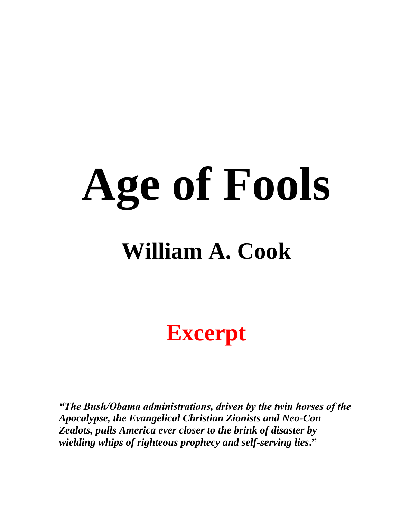# **Age of Fools**

## **William A. Cook**

**Excerpt**

*"The Bush/Obama administrations, driven by the twin horses of the Apocalypse, the Evangelical Christian Zionists and Neo-Con Zealots, pulls America ever closer to the brink of disaster by wielding whips of righteous prophecy and self-serving lies***."**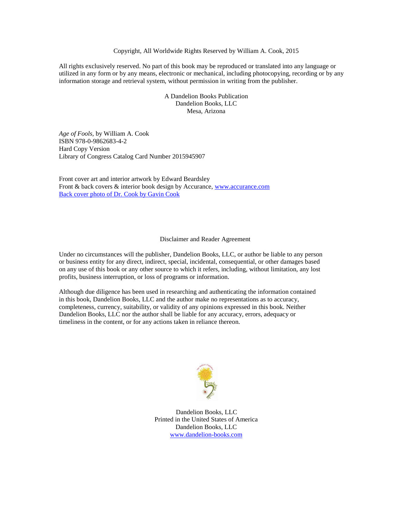#### Copyright, All Worldwide Rights Reserved by William A. Cook, 2015

All rights exclusively reserved. No part of this book may be reproduced or translated into any language or utilized in any form or by any means, electronic or mechanical, including photocopying, recording or by any information storage and retrieval system, without permission in writing from the publisher.

> A Dandelion Books Publication Dandelion Books, LLC Mesa, Arizona

*Age of Fools,* by William A. Cook ISBN 978-0-9862683-4-2 Hard Copy Version Library of Congress Catalog Card Number 2015945907

Front cover art and interior artwork by Edward Beardsley Front & back covers & interior book design by Accurance, [www.accurance.com](http://www.accurance.com/) Back cover photo of Dr. Cook by Gavin Cook

#### Disclaimer and Reader Agreement

Under no circumstances will the publisher, Dandelion Books, LLC, or author be liable to any person or business entity for any direct, indirect, special, incidental, consequential, or other damages based on any use of this book or any other source to which it refers, including, without limitation, any lost profits, business interruption, or loss of programs or information.

Although due diligence has been used in researching and authenticating the information contained in this book, Dandelion Books, LLC and the author make no representations as to accuracy, completeness, currency, suitability, or validity of any opinions expressed in this book. Neither Dandelion Books, LLC nor the author shall be liable for any accuracy, errors, adequacy or timeliness in the content, or for any actions taken in reliance thereon.



Dandelion Books, LLC Printed in the United States of America Dandelion Books, LLC [www.dandelion-books.com](http://www.dandelion-books.com/)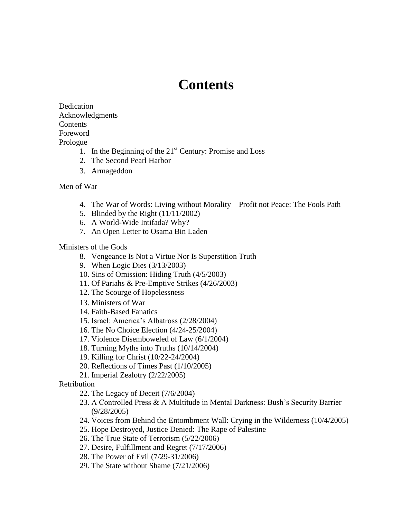## **Contents**

Dedication Acknowledgments Contents Foreword Prologue

- 1. In the Beginning of the  $21<sup>st</sup>$  Century: Promise and Loss
- 2. The Second Pearl Harbor
- 3. Armageddon

## Men of War

- 4. The War of Words: Living without Morality Profit not Peace: The Fools Path
- 5. Blinded by the Right (11/11/2002)
- 6. A World-Wide Intifada? Why?
- 7. An Open Letter to Osama Bin Laden

## Ministers of the Gods

- 8. Vengeance Is Not a Virtue Nor Is Superstition Truth
- 9. When Logic Dies (3/13/2003)
- 10. Sins of Omission: Hiding Truth (4/5/2003)
- 11. Of Pariahs & Pre-Emptive Strikes (4/26/2003)
- 12. The Scourge of Hopelessness
- 13. Ministers of War
- 14. Faith-Based Fanatics
- 15. Israel: America's Albatross (2/28/2004)
- 16. The No Choice Election (4/24-25/2004)
- 17. Violence Disemboweled of Law (6/1/2004)
- 18. Turning Myths into Truths (10/14/2004)
- 19. Killing for Christ (10/22-24/2004)
- 20. Reflections of Times Past (1/10/2005)
- 21. Imperial Zealotry (2/22/2005)

## Retribution

- 22. The Legacy of Deceit (7/6/2004)
- 23. A Controlled Press & A Multitude in Mental Darkness: Bush's Security Barrier (9/28/2005)
- 24. Voices from Behind the Entombment Wall: Crying in the Wilderness (10/4/2005)
- 25. Hope Destroyed, Justice Denied: The Rape of Palestine
- 26. The True State of Terrorism (5/22/2006)
- 27. Desire, Fulfillment and Regret (7/17/2006)
- 28. The Power of Evil (7/29-31/2006)
- 29. The State without Shame (7/21/2006)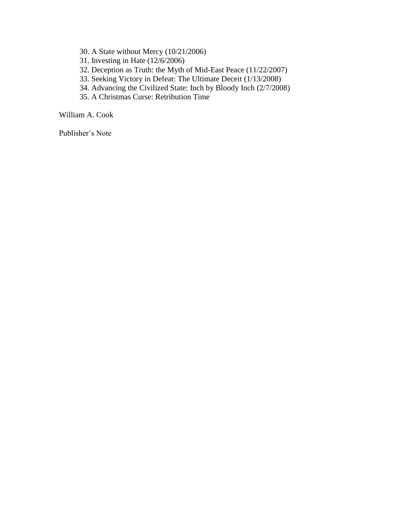- 30. A State without Mercy (10/21/2006)
- 31. Investing in Hate (12/6/2006)
- 32. Deception as Truth: the Myth of Mid-East Peace (11/22/2007)
- 33. Seeking Victory in Defeat: The Ultimate Deceit (1/13/2008)
- 34. Advancing the Civilized State: Inch by Bloody Inch (2/7/2008)
- 35. A Christmas Curse: Retribution Time

William A. Cook

Publisher's Note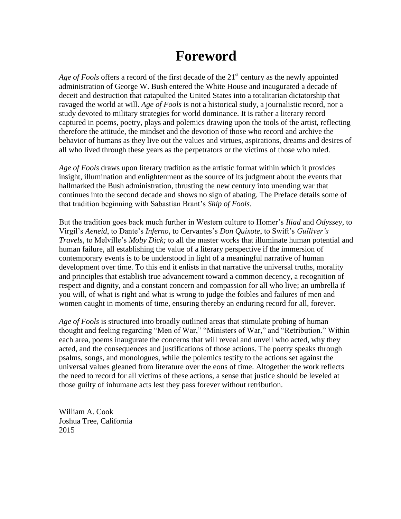## **Foreword**

*Age of Fools* offers a record of the first decade of the 21<sup>st</sup> century as the newly appointed administration of George W. Bush entered the White House and inaugurated a decade of deceit and destruction that catapulted the United States into a totalitarian dictatorship that ravaged the world at will. *Age of Fools* is not a historical study, a journalistic record, nor a study devoted to military strategies for world dominance. It is rather a literary record captured in poems, poetry, plays and polemics drawing upon the tools of the artist, reflecting therefore the attitude, the mindset and the devotion of those who record and archive the behavior of humans as they live out the values and virtues, aspirations, dreams and desires of all who lived through these years as the perpetrators or the victims of those who ruled.

*Age of Fools* draws upon literary tradition as the artistic format within which it provides insight, illumination and enlightenment as the source of its judgment about the events that hallmarked the Bush administration, thrusting the new century into unending war that continues into the second decade and shows no sign of abating. The Preface details some of that tradition beginning with Sabastian Brant's *Ship of Fools*.

But the tradition goes back much further in Western culture to Homer's *Iliad* and *Odyssey*, to Virgil's *Aeneid*, to Dante's *Inferno*, to Cervantes's *Don Quixote*, to Swift's *Gulliver's Travels*, to Melville's *Moby Dick;* to all the master works that illuminate human potential and human failure, all establishing the value of a literary perspective if the immersion of contemporary events is to be understood in light of a meaningful narrative of human development over time. To this end it enlists in that narrative the universal truths, morality and principles that establish true advancement toward a common decency, a recognition of respect and dignity, and a constant concern and compassion for all who live; an umbrella if you will, of what is right and what is wrong to judge the foibles and failures of men and women caught in moments of time, ensuring thereby an enduring record for all, forever.

*Age of Fools* is structured into broadly outlined areas that stimulate probing of human thought and feeling regarding "Men of War," "Ministers of War," and "Retribution." Within each area, poems inaugurate the concerns that will reveal and unveil who acted, why they acted, and the consequences and justifications of those actions. The poetry speaks through psalms, songs, and monologues, while the polemics testify to the actions set against the universal values gleaned from literature over the eons of time. Altogether the work reflects the need to record for all victims of these actions, a sense that justice should be leveled at those guilty of inhumane acts lest they pass forever without retribution.

William A. Cook Joshua Tree, California 2015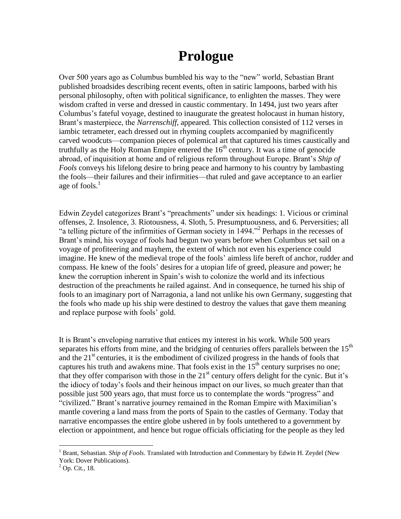## **Prologue**

Over 500 years ago as Columbus bumbled his way to the "new" world, Sebastian Brant published broadsides describing recent events, often in satiric lampoons, barbed with his personal philosophy, often with political significance, to enlighten the masses. They were wisdom crafted in verse and dressed in caustic commentary. In 1494, just two years after Columbus's fateful voyage, destined to inaugurate the greatest holocaust in human history, Brant's masterpiece, the *Narrenschiff,* appeared. This collection consisted of 112 verses in iambic tetrameter, each dressed out in rhyming couplets accompanied by magnificently carved woodcuts—companion pieces of polemical art that captured his times caustically and truthfully as the Holy Roman Empire entered the  $16<sup>th</sup>$  century. It was a time of genocide abroad, of inquisition at home and of religious reform throughout Europe. Brant's *Ship of Fools* conveys his lifelong desire to bring peace and harmony to his country by lambasting the fools—their failures and their infirmities—that ruled and gave acceptance to an earlier age of fools. $<sup>1</sup>$ </sup>

Edwin Zeydel categorizes Brant's "preachments" under six headings: 1. Vicious or criminal offenses, 2. Insolence, 3. Riotousness, 4. Sloth, 5. Presumptuousness, and 6. Perversities; all "a telling picture of the infirmities of German society in 1494." 2 Perhaps in the recesses of Brant's mind, his voyage of fools had begun two years before when Columbus set sail on a voyage of profiteering and mayhem, the extent of which not even his experience could imagine. He knew of the medieval trope of the fools' aimless life bereft of anchor, rudder and compass. He knew of the fools' desires for a utopian life of greed, pleasure and power; he knew the corruption inherent in Spain's wish to colonize the world and its infectious destruction of the preachments he railed against. And in consequence, he turned his ship of fools to an imaginary port of Narragonia, a land not unlike his own Germany, suggesting that the fools who made up his ship were destined to destroy the values that gave them meaning and replace purpose with fools' gold.

It is Brant's enveloping narrative that entices my interest in his work. While 500 years separates his efforts from mine, and the bridging of centuries offers parallels between the  $15<sup>th</sup>$ and the  $21<sup>st</sup>$  centuries, it is the embodiment of civilized progress in the hands of fools that captures his truth and awakens mine. That fools exist in the  $15<sup>th</sup>$  century surprises no one; that they offer comparison with those in the 21<sup>st</sup> century offers delight for the cynic. But it's the idiocy of today's fools and their heinous impact on our lives, so much greater than that possible just 500 years ago, that must force us to contemplate the words "progress" and "civilized." Brant's narrative journey remained in the Roman Empire with Maximilian's mantle covering a land mass from the ports of Spain to the castles of Germany. Today that narrative encompasses the entire globe ushered in by fools untethered to a government by election or appointment, and hence but rogue officials officiating for the people as they led

<sup>1</sup> Brant, Sebastian. *Ship of Fools*. Translated with Introduction and Commentary by Edwin H. Zeydel (New York: Dover Publications).

 $<sup>2</sup>$  Op. Cit., 18.</sup>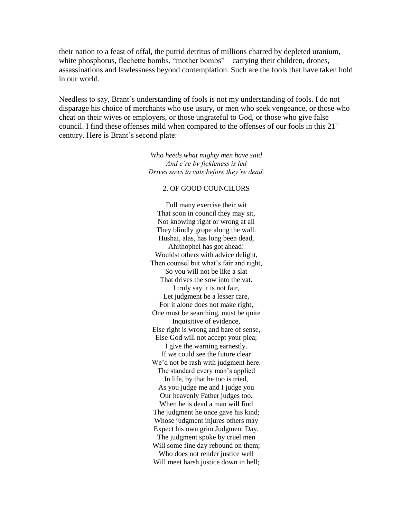their nation to a feast of offal, the putrid detritus of millions charred by depleted uranium, white phosphorus, flechette bombs, "mother bombs"—carrying their children, drones, assassinations and lawlessness beyond contemplation. Such are the fools that have taken hold in our world.

Needless to say, Brant's understanding of fools is not my understanding of fools. I do not disparage his choice of merchants who use usury, or men who seek vengeance, or those who cheat on their wives or employers, or those ungrateful to God, or those who give false council. I find these offenses mild when compared to the offenses of our fools in this  $21<sup>st</sup>$ century. Here is Brant's second plate:

> *Who heeds what mighty men have said And e're by fickleness is led Drives sows to vats before they're dead.*

#### 2. OF GOOD COUNCILORS

Full many exercise their wit That soon in council they may sit, Not knowing right or wrong at all They blindly grope along the wall. Hushai, alas, has long been dead, Ahithophel has got ahead! Wouldst others with advice delight, Then counsel but what's fair and right, So you will not be like a slat That drives the sow into the vat. I truly say it is not fair, Let judgment be a lesser care, For it alone does not make right, One must be searching, must be quite Inquisitive of evidence, Else right is wrong and bare of sense, Else God will not accept your plea; I give the warning earnestly. If we could see the future clear We'd not be rash with judgment here. The standard every man's applied In life, by that he too is tried, As you judge me and I judge you Our heavenly Father judges too. When he is dead a man will find The judgment he once gave his kind; Whose judgment injures others may Expect his own grim Judgment Day. The judgment spoke by cruel men Will some fine day rebound on them; Who does not render justice well Will meet harsh justice down in hell;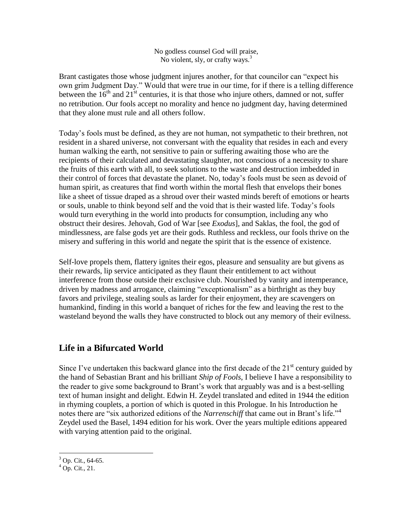No godless counsel God will praise, No violent, sly, or crafty ways.<sup>3</sup>

Brant castigates those whose judgment injures another, for that councilor can "expect his own grim Judgment Day." Would that were true in our time, for if there is a telling difference between the  $16<sup>th</sup>$  and  $21<sup>st</sup>$  centuries, it is that those who injure others, damned or not, suffer no retribution. Our fools accept no morality and hence no judgment day, having determined that they alone must rule and all others follow.

Today's fools must be defined, as they are not human, not sympathetic to their brethren, not resident in a shared universe, not conversant with the equality that resides in each and every human walking the earth, not sensitive to pain or suffering awaiting those who are the recipients of their calculated and devastating slaughter, not conscious of a necessity to share the fruits of this earth with all, to seek solutions to the waste and destruction imbedded in their control of forces that devastate the planet. No, today's fools must be seen as devoid of human spirit, as creatures that find worth within the mortal flesh that envelops their bones like a sheet of tissue draped as a shroud over their wasted minds bereft of emotions or hearts or souls, unable to think beyond self and the void that is their wasted life. Today's fools would turn everything in the world into products for consumption, including any who obstruct their desires. Jehovah, God of War [see *Exodus*], and Saklas, the fool, the god of mindlessness, are false gods yet are their gods. Ruthless and reckless, our fools thrive on the misery and suffering in this world and negate the spirit that is the essence of existence.

Self-love propels them, flattery ignites their egos, pleasure and sensuality are but givens as their rewards, lip service anticipated as they flaunt their entitlement to act without interference from those outside their exclusive club. Nourished by vanity and intemperance, driven by madness and arrogance, claiming "exceptionalism" as a birthright as they buy favors and privilege, stealing souls as larder for their enjoyment, they are scavengers on humankind, finding in this world a banquet of riches for the few and leaving the rest to the wasteland beyond the walls they have constructed to block out any memory of their evilness.

## **Life in a Bifurcated World**

Since I've undertaken this backward glance into the first decade of the  $21<sup>st</sup>$  century guided by the hand of Sebastian Brant and his brilliant *Ship of Fools*, I believe I have a responsibility to the reader to give some background to Brant's work that arguably was and is a best-selling text of human insight and delight. Edwin H. Zeydel translated and edited in 1944 the edition in rhyming couplets, a portion of which is quoted in this Prologue. In his Introduction he notes there are "six authorized editions of the *Narrenschiff* that came out in Brant's life."<sup>4</sup> Zeydel used the Basel, 1494 edition for his work. Over the years multiple editions appeared with varying attention paid to the original.

 $3$  Op. Cit., 64-65.

 $^{4}$  Op. Cit., 21.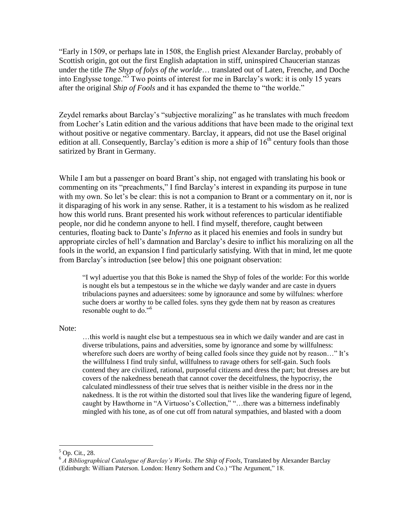"Early in 1509, or perhaps late in 1508, the English priest Alexander Barclay, probably of Scottish origin, got out the first English adaptation in stiff, uninspired Chaucerian stanzas under the title *The Shyp of folys of the worlde*… translated out of Laten, Frenche, and Doche into Englysse tonge."<sup>5</sup> Two points of interest for me in Barclay's work: it is only 15 years after the original *Ship of Fools* and it has expanded the theme to "the worlde."

Zeydel remarks about Barclay's "subjective moralizing" as he translates with much freedom from Locher's Latin edition and the various additions that have been made to the original text without positive or negative commentary. Barclay, it appears, did not use the Basel original edition at all. Consequently, Barclay's edition is more a ship of  $16<sup>th</sup>$  century fools than those satirized by Brant in Germany.

While I am but a passenger on board Brant's ship, not engaged with translating his book or commenting on its "preachments," I find Barclay's interest in expanding its purpose in tune with my own. So let's be clear: this is not a companion to Brant or a commentary on it, nor is it disparaging of his work in any sense. Rather, it is a testament to his wisdom as he realized how this world runs. Brant presented his work without references to particular identifiable people, nor did he condemn anyone to hell. I find myself, therefore, caught between centuries, floating back to Dante's *Inferno* as it placed his enemies and fools in sundry but appropriate circles of hell's damnation and Barclay's desire to inflict his moralizing on all the fools in the world, an expansion I find particularly satisfying. With that in mind, let me quote from Barclay's introduction [see below] this one poignant observation:

"I wyl aduertise you that this Boke is named the Shyp of foles of the worlde: For this worlde is nought els but a tempestous se in the whiche we dayly wander and are caste in dyuers tribulacions paynes and aduersitees: some by ignoraunce and some by wilfulnes: wherfore suche doers ar worthy to be called foles. syns they gyde them nat by reason as creatures resonable ought to do."<sup>6</sup>

Note:

…this world is naught else but a tempestuous sea in which we daily wander and are cast in diverse tribulations, pains and adversities, some by ignorance and some by willfulness: wherefore such doers are worthy of being called fools since they guide not by reason..." It's the willfulness I find truly sinful, willfulness to ravage others for self-gain. Such fools contend they are civilized, rational, purposeful citizens and dress the part; but dresses are but covers of the nakedness beneath that cannot cover the deceitfulness, the hypocrisy, the calculated mindlessness of their true selves that is neither visible in the dress nor in the nakedness. It is the rot within the distorted soul that lives like the wandering figure of legend, caught by Hawthorne in "A Virtuoso's Collection," "…there was a bitterness indefinably mingled with his tone, as of one cut off from natural sympathies, and blasted with a doom

 $5$  Op. Cit., 28.

<sup>6</sup> *A Bibliographical Catalogue of Barclay's Works. The Ship of Fools,* Translated by Alexander Barclay (Edinburgh: William Paterson. London: Henry Sothern and Co.) "The Argument," 18.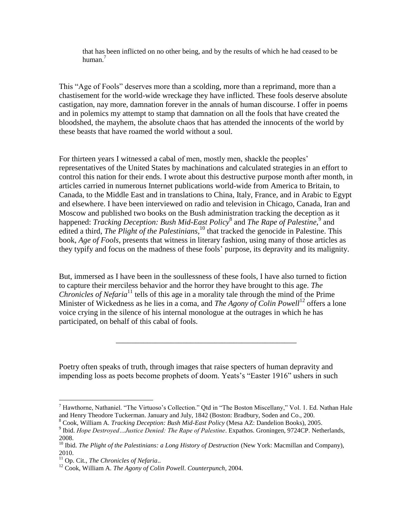that has been inflicted on no other being, and by the results of which he had ceased to be human<sup>7</sup>

This "Age of Fools" deserves more than a scolding, more than a reprimand, more than a chastisement for the world-wide wreckage they have inflicted. These fools deserve absolute castigation, nay more, damnation forever in the annals of human discourse. I offer in poems and in polemics my attempt to stamp that damnation on all the fools that have created the bloodshed, the mayhem, the absolute chaos that has attended the innocents of the world by these beasts that have roamed the world without a soul.

For thirteen years I witnessed a cabal of men, mostly men, shackle the peoples' representatives of the United States by machinations and calculated strategies in an effort to control this nation for their ends. I wrote about this destructive purpose month after month, in articles carried in numerous Internet publications world-wide from America to Britain, to Canada, to the Middle East and in translations to China, Italy, France, and in Arabic to Egypt and elsewhere. I have been interviewed on radio and television in Chicago, Canada, Iran and Moscow and published two books on the Bush administration tracking the deception as it happened: *Tracking Deception: Bush Mid-East Policy*<sup>8</sup> and *The Rape of Palestine*,<sup>9</sup> and edited a third, *The Plight of the Palestinians*,<sup>10</sup> that tracked the genocide in Palestine. This book, *Age of Fools*, presents that witness in literary fashion, using many of those articles as they typify and focus on the madness of these fools' purpose, its depravity and its malignity.

But, immersed as I have been in the soullessness of these fools, I have also turned to fiction to capture their merciless behavior and the horror they have brought to this age. *The Chronicles of Nefaria*<sup>11</sup> tells of this age in a morality tale through the mind of the Prime Minister of Wickedness as he lies in a coma, and *The Agony of Colin Powell*<sup>12</sup> offers a lone voice crying in the silence of his internal monologue at the outrages in which he has participated, on behalf of this cabal of fools.

\_\_\_\_\_\_\_\_\_\_\_\_\_\_\_\_\_\_\_\_\_\_\_\_\_\_\_\_\_\_\_\_\_\_\_\_\_\_\_\_\_\_\_\_\_\_

Poetry often speaks of truth, through images that raise specters of human depravity and impending loss as poets become prophets of doom. Yeats's "Easter 1916" ushers in such

 $<sup>7</sup>$  Hawthorne, Nathaniel. "The Virtuoso's Collection." Qtd in "The Boston Miscellany," Vol. 1. Ed. Nathan Hale</sup> and Henry Theodore Tuckerman. January and July, 1842 (Boston: Bradbury, Soden and Co., 200.

<sup>8</sup> Cook, William A. *Tracking Deception: Bush Mid-East Policy* (Mesa AZ: Dandelion Books), 2005. 9 Ibid. *Hope Destroyed…Justice Denied: The Rape of Palestine*. Expathos. Groningen, 9724CP. Netherlands, 2008.

<sup>10</sup> Ibid. *The Plight of the Palestinians: a Long History of Destruction* (New York: Macmillan and Company), 2010.

<sup>11</sup> Op. Cit., *The Chronicles of Nefaria*..

<sup>12</sup> Cook, William A. *The Agony of Colin Powell*. *Counterpunch,* 2004.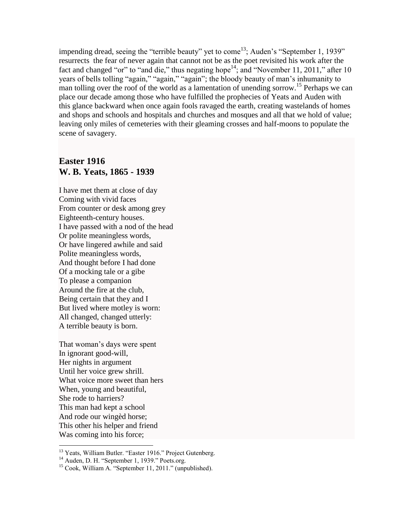impending dread, seeing the "terrible beauty" yet to come<sup>13</sup>; Auden's "September 1, 1939" resurrects the fear of never again that cannot not be as the poet revisited his work after the fact and changed "or" to "and die," thus negating hope<sup>14</sup>; and "November 11, 2011," after 10 years of bells tolling "again," "again," "again"; the bloody beauty of man's inhumanity to man tolling over the roof of the world as a lamentation of unending sorrow.<sup>15</sup> Perhaps we can place our decade among those who have fulfilled the prophecies of Yeats and Auden with this glance backward when once again fools ravaged the earth, creating wastelands of homes and shops and schools and hospitals and churches and mosques and all that we hold of value; leaving only miles of cemeteries with their gleaming crosses and half-moons to populate the scene of savagery.

## **Easter 1916 W. B. Yeats, 1865 - 1939**

I have met them at close of day Coming with vivid faces From counter or desk among grey Eighteenth-century houses. I have passed with a nod of the head Or polite meaningless words, Or have lingered awhile and said Polite meaningless words, And thought before I had done Of a mocking tale or a gibe To please a companion Around the fire at the club, Being certain that they and I But lived where motley is worn: All changed, changed utterly: A terrible beauty is born.

That woman's days were spent In ignorant good-will, Her nights in argument Until her voice grew shrill. What voice more sweet than hers When, young and beautiful, She rode to harriers? This man had kept a school And rode our wingèd horse; This other his helper and friend Was coming into his force;

<sup>&</sup>lt;sup>13</sup> Yeats, William Butler. "Easter 1916." Project Gutenberg.

<sup>&</sup>lt;sup>14</sup> Auden, D. H. "September 1, 1939." Poets.org.

<sup>15</sup> Cook, William A. "September 11, 2011." (unpublished).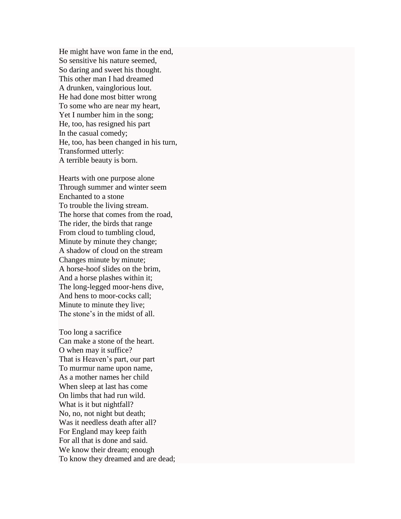He might have won fame in the end, So sensitive his nature seemed, So daring and sweet his thought. This other man I had dreamed A drunken, vainglorious lout. He had done most bitter wrong To some who are near my heart, Yet I number him in the song; He, too, has resigned his part In the casual comedy; He, too, has been changed in his turn, Transformed utterly: A terrible beauty is born.

Hearts with one purpose alone Through summer and winter seem Enchanted to a stone To trouble the living stream. The horse that comes from the road, The rider, the birds that range From cloud to tumbling cloud, Minute by minute they change; A shadow of cloud on the stream Changes minute by minute; A horse-hoof slides on the brim, And a horse plashes within it; The long-legged moor-hens dive, And hens to moor-cocks call; Minute to minute they live; The stone's in the midst of all.

Too long a sacrifice Can make a stone of the heart. O when may it suffice? That is Heaven's part, our part To murmur name upon name, As a mother names her child When sleep at last has come On limbs that had run wild. What is it but nightfall? No, no, not night but death; Was it needless death after all? For England may keep faith For all that is done and said. We know their dream; enough To know they dreamed and are dead;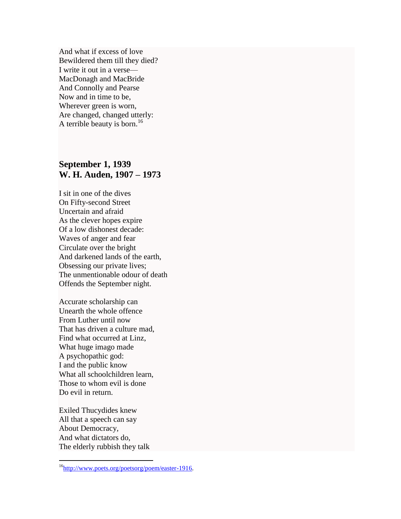And what if excess of love Bewildered them till they died? I write it out in a verse— MacDonagh and MacBride And Connolly and Pearse Now and in time to be, Wherever green is worn, Are changed, changed utterly: A terrible beauty is born.<sup>16</sup>

## **September 1, 1939 W. H. Auden, 1907 – 1973**

I sit in one of the dives On Fifty-second Street Uncertain and afraid As the clever hopes expire Of a low dishonest decade: Waves of anger and fear Circulate over the bright And darkened lands of the earth, Obsessing our private lives; The unmentionable odour of death Offends the September night.

Accurate scholarship can Unearth the whole offence From Luther until now That has driven a culture mad, Find what occurred at Linz, What huge imago made A psychopathic god: I and the public know What all schoolchildren learn, Those to whom evil is done Do evil in return.

Exiled Thucydides knew All that a speech can say About Democracy, And what dictators do, The elderly rubbish they talk

<sup>&</sup>lt;sup>16</sup>[http://www.poets.org/poetsorg/poem/easter-1916.](http://www.poets.org/poetsorg/poem/easter-1916)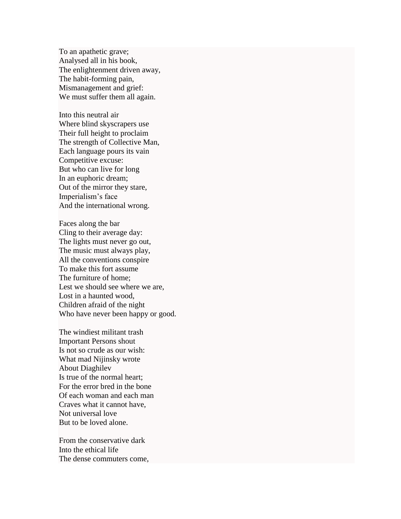To an apathetic grave; Analysed all in his book, The enlightenment driven away, The habit-forming pain, Mismanagement and grief: We must suffer them all again.

Into this neutral air Where blind skyscrapers use Their full height to proclaim The strength of Collective Man, Each language pours its vain Competitive excuse: But who can live for long In an euphoric dream; Out of the mirror they stare, Imperialism's face And the international wrong.

Faces along the bar Cling to their average day: The lights must never go out, The music must always play, All the conventions conspire To make this fort assume The furniture of home; Lest we should see where we are, Lost in a haunted wood, Children afraid of the night Who have never been happy or good.

The windiest militant trash Important Persons shout Is not so crude as our wish: What mad Nijinsky wrote About Diaghilev Is true of the normal heart; For the error bred in the bone Of each woman and each man Craves what it cannot have, Not universal love But to be loved alone.

From the conservative dark Into the ethical life The dense commuters come,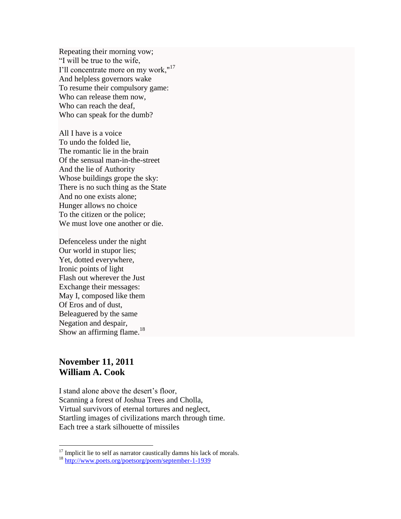Repeating their morning vow; "I will be true to the wife, I'll concentrate more on my work,"<sup>17</sup> And helpless governors wake To resume their compulsory game: Who can release them now, Who can reach the deaf, Who can speak for the dumb?

All I have is a voice To undo the folded lie, The romantic lie in the brain Of the sensual man-in-the-street And the lie of Authority Whose buildings grope the sky: There is no such thing as the State And no one exists alone; Hunger allows no choice To the citizen or the police; We must love one another or die.

Defenceless under the night Our world in stupor lies; Yet, dotted everywhere, Ironic points of light Flash out wherever the Just Exchange their messages: May I, composed like them Of Eros and of dust, Beleaguered by the same Negation and despair, Show an affirming flame.<sup>18</sup>

## **November 11, 2011 William A. Cook**

 $\overline{a}$ 

I stand alone above the desert's floor, Scanning a forest of Joshua Trees and Cholla, Virtual survivors of eternal tortures and neglect, Startling images of civilizations march through time. Each tree a stark silhouette of missiles

 $17$  Implicit lie to self as narrator caustically damns his lack of morals.

<sup>18</sup> <http://www.poets.org/poetsorg/poem/september-1-1939>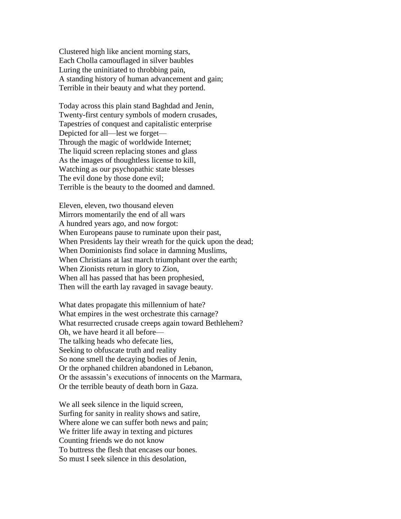Clustered high like ancient morning stars, Each Cholla camouflaged in silver baubles Luring the uninitiated to throbbing pain, A standing history of human advancement and gain; Terrible in their beauty and what they portend.

Today across this plain stand Baghdad and Jenin, Twenty-first century symbols of modern crusades, Tapestries of conquest and capitalistic enterprise Depicted for all—lest we forget— Through the magic of worldwide Internet; The liquid screen replacing stones and glass As the images of thoughtless license to kill, Watching as our psychopathic state blesses The evil done by those done evil; Terrible is the beauty to the doomed and damned.

Eleven, eleven, two thousand eleven Mirrors momentarily the end of all wars A hundred years ago, and now forgot: When Europeans pause to ruminate upon their past, When Presidents lay their wreath for the quick upon the dead; When Dominionists find solace in damning Muslims, When Christians at last march triumphant over the earth; When Zionists return in glory to Zion, When all has passed that has been prophesied, Then will the earth lay ravaged in savage beauty.

What dates propagate this millennium of hate? What empires in the west orchestrate this carnage? What resurrected crusade creeps again toward Bethlehem? Oh, we have heard it all before— The talking heads who defecate lies, Seeking to obfuscate truth and reality So none smell the decaying bodies of Jenin, Or the orphaned children abandoned in Lebanon, Or the assassin's executions of innocents on the Marmara, Or the terrible beauty of death born in Gaza.

We all seek silence in the liquid screen, Surfing for sanity in reality shows and satire, Where alone we can suffer both news and pain; We fritter life away in texting and pictures Counting friends we do not know To buttress the flesh that encases our bones. So must I seek silence in this desolation,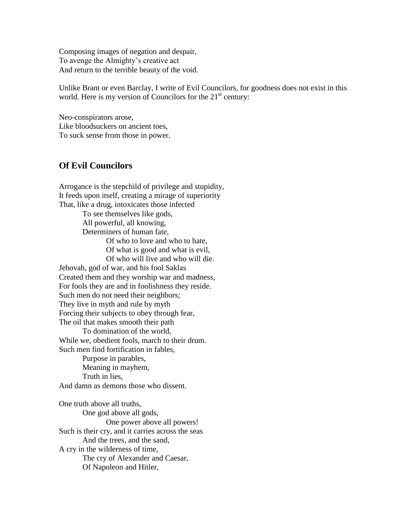Composing images of negation and despair, To avenge the Almighty's creative act And return to the terrible beauty of the void.

Unlike Brant or even Barclay, I write of Evil Councilors, for goodness does not exist in this world. Here is my version of Councilors for the  $21<sup>st</sup>$  century:

Neo-conspirators arose, Like bloodsuckers on ancient toes, To suck sense from those in power.

## **Of Evil Councilors**

Arrogance is the stepchild of privilege and stupidity, It feeds upon itself, creating a mirage of superiority That, like a drug, intoxicates those infected To see themselves like gods, All powerful, all knowing, Determiners of human fate, Of who to love and who to hate, Of what is good and what is evil, Of who will live and who will die. Jehovah, god of war, and his fool Saklas Created them and they worship war and madness, For fools they are and in foolishness they reside. Such men do not need their neighbors; They live in myth and rule by myth Forcing their subjects to obey through fear, The oil that makes smooth their path To domination of the world, While we, obedient fools, march to their drum. Such men find fortification in fables, Purpose in parables, Meaning in mayhem, Truth in lies, And damn as demons those who dissent. One truth above all truths, One god above all gods, One power above all powers! Such is their cry, and it carries across the seas And the trees, and the sand, A cry in the wilderness of time, The cry of Alexander and Caesar, Of Napoleon and Hitler,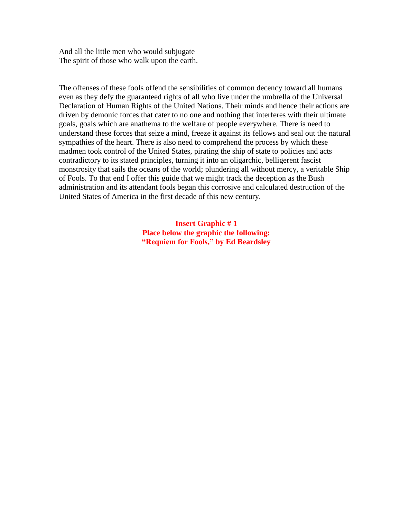And all the little men who would subjugate The spirit of those who walk upon the earth.

The offenses of these fools offend the sensibilities of common decency toward all humans even as they defy the guaranteed rights of all who live under the umbrella of the Universal Declaration of Human Rights of the United Nations. Their minds and hence their actions are driven by demonic forces that cater to no one and nothing that interferes with their ultimate goals, goals which are anathema to the welfare of people everywhere. There is need to understand these forces that seize a mind, freeze it against its fellows and seal out the natural sympathies of the heart. There is also need to comprehend the process by which these madmen took control of the United States, pirating the ship of state to policies and acts contradictory to its stated principles, turning it into an oligarchic, belligerent fascist monstrosity that sails the oceans of the world; plundering all without mercy, a veritable Ship of Fools. To that end I offer this guide that we might track the deception as the Bush administration and its attendant fools began this corrosive and calculated destruction of the United States of America in the first decade of this new century.

> **Insert Graphic # 1 Place below the graphic the following: "Requiem for Fools," by Ed Beardsley**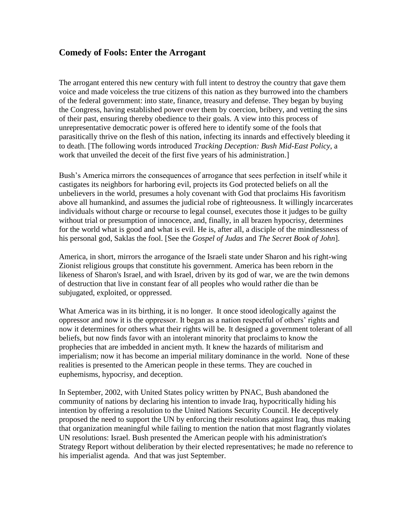## **Comedy of Fools: Enter the Arrogant**

The arrogant entered this new century with full intent to destroy the country that gave them voice and made voiceless the true citizens of this nation as they burrowed into the chambers of the federal government: into state, finance, treasury and defense. They began by buying the Congress, having established power over them by coercion, bribery, and vetting the sins of their past, ensuring thereby obedience to their goals. A view into this process of unrepresentative democratic power is offered here to identify some of the fools that parasitically thrive on the flesh of this nation, infecting its innards and effectively bleeding it to death. [The following words introduced *Tracking Deception: Bush Mid-East Policy*, a work that unveiled the deceit of the first five years of his administration.]

Bush's America mirrors the consequences of arrogance that sees perfection in itself while it castigates its neighbors for harboring evil, projects its God protected beliefs on all the unbelievers in the world, presumes a holy covenant with God that proclaims His favoritism above all humankind, and assumes the judicial robe of righteousness. It willingly incarcerates individuals without charge or recourse to legal counsel, executes those it judges to be guilty without trial or presumption of innocence, and, finally, in all brazen hypocrisy, determines for the world what is good and what is evil. He is, after all, a disciple of the mindlessness of his personal god, Saklas the fool. [See the *Gospel of Judas* and *The Secret Book of John*].

America, in short, mirrors the arrogance of the Israeli state under Sharon and his right-wing Zionist religious groups that constitute his government. America has been reborn in the likeness of Sharon's Israel, and with Israel, driven by its god of war, we are the twin demons of destruction that live in constant fear of all peoples who would rather die than be subjugated, exploited, or oppressed.

What America was in its birthing, it is no longer. It once stood ideologically against the oppressor and now it is the oppressor. It began as a nation respectful of others' rights and now it determines for others what their rights will be. It designed a government tolerant of all beliefs, but now finds favor with an intolerant minority that proclaims to know the prophecies that are imbedded in ancient myth. It knew the hazards of militarism and imperialism; now it has become an imperial military dominance in the world. None of these realities is presented to the American people in these terms. They are couched in euphemisms, hypocrisy, and deception.

In September, 2002, with United States policy written by PNAC, Bush abandoned the community of nations by declaring his intention to invade Iraq, hypocritically hiding his intention by offering a resolution to the United Nations Security Council. He deceptively proposed the need to support the UN by enforcing their resolutions against Iraq, thus making that organization meaningful while failing to mention the nation that most flagrantly violates UN resolutions: Israel. Bush presented the American people with his administration's Strategy Report without deliberation by their elected representatives; he made no reference to his imperialist agenda. And that was just September.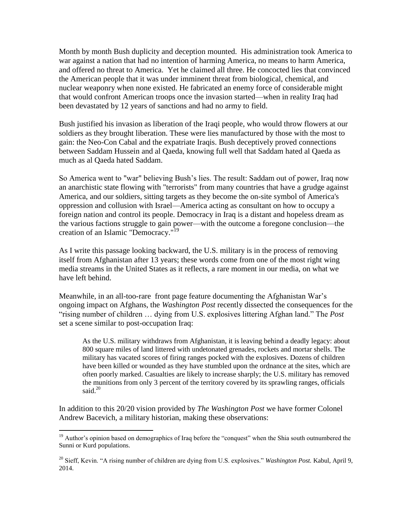Month by month Bush duplicity and deception mounted. His administration took America to war against a nation that had no intention of harming America, no means to harm America, and offered no threat to America. Yet he claimed all three. He concocted lies that convinced the American people that it was under imminent threat from biological, chemical, and nuclear weaponry when none existed. He fabricated an enemy force of considerable might that would confront American troops once the invasion started—when in reality Iraq had been devastated by 12 years of sanctions and had no army to field.

Bush justified his invasion as liberation of the Iraqi people, who would throw flowers at our soldiers as they brought liberation. These were lies manufactured by those with the most to gain: the Neo-Con Cabal and the expatriate Iraqis. Bush deceptively proved connections between Saddam Hussein and al Qaeda, knowing full well that Saddam hated al Qaeda as much as al Qaeda hated Saddam.

So America went to "war" believing Bush's lies. The result: Saddam out of power, Iraq now an anarchistic state flowing with "terrorists" from many countries that have a grudge against America, and our soldiers, sitting targets as they become the on-site symbol of America's oppression and collusion with Israel—America acting as consultant on how to occupy a foreign nation and control its people. Democracy in Iraq is a distant and hopeless dream as the various factions struggle to gain power—with the outcome a foregone conclusion—the creation of an Islamic "Democracy."<sup>19</sup>

As I write this passage looking backward, the U.S. military is in the process of removing itself from Afghanistan after 13 years; these words come from one of the most right wing media streams in the United States as it reflects, a rare moment in our media, on what we have left behind.

Meanwhile, in an all-too-rare front page feature documenting the Afghanistan War's ongoing impact on Afghans, the *Washington Post* recently dissected the consequences for the "rising number of children … dying from U.S. explosives littering Afghan land." The *Post*  set a scene similar to post-occupation Iraq:

As the U.S. military withdraws from Afghanistan, it is leaving behind a deadly legacy: about 800 square miles of land littered with undetonated grenades, rockets and mortar shells. The military has vacated scores of firing ranges pocked with the explosives. Dozens of children have been killed or wounded as they have stumbled upon the ordnance at the sites, which are often poorly marked. Casualties are likely to increase sharply; the U.S. military has removed the munitions from only 3 percent of the territory covered by its sprawling ranges, officials said.<sup>20</sup>

In addition to this 20/20 vision provided by *The Washington Post* we have former Colonel Andrew Bacevich, a military historian, making these observations:

<sup>&</sup>lt;sup>19</sup> Author's opinion based on demographics of Iraq before the "conquest" when the Shia south outnumbered the Sunni or Kurd populations.

<sup>20</sup> Sieff, Kevin. "A rising number of children are dying from U.S. explosives." *Washington Post.* Kabul, April 9, 2014.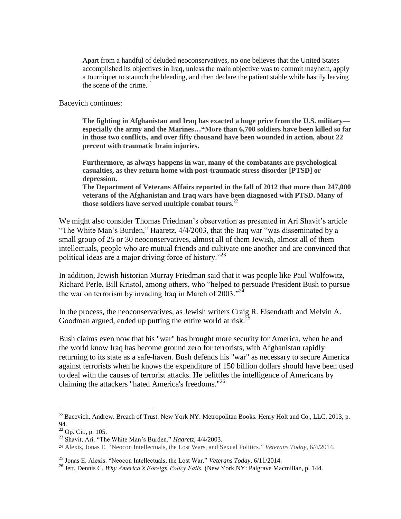Apart from a handful of deluded neoconservatives, no one believes that the United States accomplished its objectives in Iraq, unless the main objective was to commit mayhem, apply a tourniquet to staunch the bleeding, and then declare the patient stable while hastily leaving the scene of the crime.<sup>21</sup>

Bacevich continues:

**The fighting in Afghanistan and Iraq has exacted a huge price from the U.S. military especially the army and the Marines…"More than 6,700 soldiers have been killed so far in those two conflicts, and over fifty thousand have been wounded in action, about 22 percent with traumatic brain injuries.**

**Furthermore, as always happens in war, many of the combatants are psychological casualties, as they return home with post-traumatic stress disorder [PTSD] or depression.**

**The Department of Veterans Affairs reported in the fall of 2012 that more than 247,000 veterans of the Afghanistan and Iraq wars have been diagnosed with PTSD. Many of those soldiers have served multiple combat tours.**<sup>22</sup>

We might also consider Thomas Friedman's observation as presented in Ari Shavit's article "The White Man's Burden," Haaretz, 4/4/2003, that the Iraq war "was disseminated by a small group of 25 or 30 neoconservatives, almost all of them Jewish, almost all of them intellectuals, people who are mutual friends and cultivate one another and are convinced that political ideas are a major driving force of history."<sup>23</sup>

In addition, Jewish historian Murray Friedman said that it was people like Paul Wolfowitz, Richard Perle, Bill Kristol, among others, who "helped to persuade President Bush to pursue the war on terrorism by invading Iraq in March of 2003.<sup> $24$ </sup>

In the process, the neoconservatives, as Jewish writers Craig R. Eisendrath and Melvin A. Goodman argued, ended up putting the entire world at risk.<sup>25</sup>

Bush claims even now that his "war" has brought more security for America, when he and the world know Iraq has become ground zero for terrorists, with Afghanistan rapidly returning to its state as a safe-haven. Bush defends his "war" as necessary to secure America against terrorists when he knows the expenditure of 150 billion dollars should have been used to deal with the causes of terrorist attacks. He belittles the intelligence of Americans by claiming the attackers "hated America's freedoms."<sup>26</sup>

<sup>&</sup>lt;sup>22</sup> Bacevich, Andrew. Breach of Trust. New York NY: Metropolitan Books. Henry Holt and Co., LLC, 2013, p. 94.

 $22$  Op. Cit., p. 105.

<sup>23</sup> Shavit, Ari. "The White Man's Burden." *Haaretz*, 4/4/2003.

<sup>24</sup> Alexis, Jonas E. "Neocon Intellectuals, the Lost Wars, and Sexual Politics." *Veterans Today,* 6/4/2014.

<sup>25</sup> Jonas E. Alexis. "Neocon Intellectuals, the Lost War." *Veterans Today*, 6/11/2014.

<sup>26</sup> Jett, Dennis C. *Why America's Foreign Policy Fails.* (New York NY: Palgrave Macmillan, p. 144.